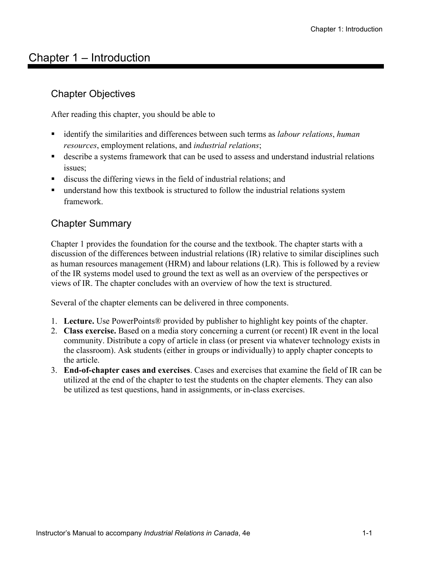# Chapter 1 – Introduction

# Chapter Objectives

After reading this chapter, you should be able to

- identify the similarities and differences between such terms as *labour relations*, *human resources*, employment relations, and *industrial relations*;
- describe a systems framework that can be used to assess and understand industrial relations issues;
- discuss the differing views in the field of industrial relations; and
- understand how this textbook is structured to follow the industrial relations system framework.

# Chapter Summary

Chapter 1 provides the foundation for the course and the textbook. The chapter starts with a discussion of the differences between industrial relations (IR) relative to similar disciplines such as human resources management (HRM) and labour relations (LR). This is followed by a review of the IR systems model used to ground the text as well as an overview of the perspectives or views of IR. The chapter concludes with an overview of how the text is structured.

Several of the chapter elements can be delivered in three components.

- 1. **Lecture.** Use PowerPoints® provided by publisher to highlight key points of the chapter.
- 2. **Class exercise.** Based on a media story concerning a current (or recent) IR event in the local community. Distribute a copy of article in class (or present via whatever technology exists in the classroom). Ask students (either in groups or individually) to apply chapter concepts to the article.
- 3. **End-of-chapter cases and exercises**. Cases and exercises that examine the field of IR can be utilized at the end of the chapter to test the students on the chapter elements. They can also be utilized as test questions, hand in assignments, or in-class exercises.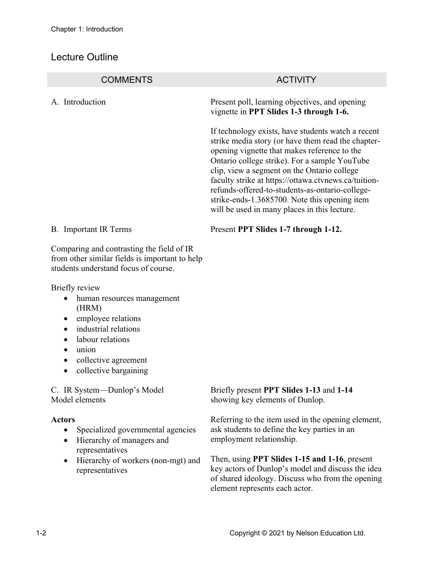# Lecture Outline

| <b>COMMENTS</b>                                                                                                                                                                                                          | <b>ACTIVITY</b>                                                                                                                                                                                                                                                                                                                                                                                                                                                      |
|--------------------------------------------------------------------------------------------------------------------------------------------------------------------------------------------------------------------------|----------------------------------------------------------------------------------------------------------------------------------------------------------------------------------------------------------------------------------------------------------------------------------------------------------------------------------------------------------------------------------------------------------------------------------------------------------------------|
| A. Introduction                                                                                                                                                                                                          | Present poll, learning objectives, and opening<br>vignette in PPT Slides 1-3 through 1-6.                                                                                                                                                                                                                                                                                                                                                                            |
|                                                                                                                                                                                                                          | If technology exists, have students watch a recent<br>strike media story (or have them read the chapter-<br>opening vignette that makes reference to the<br>Ontario college strike). For a sample YouTube<br>clip, view a segment on the Ontario college<br>faculty strike at https://ottawa.ctvnews.ca/tuition-<br>refunds-offered-to-students-as-ontario-college-<br>strike-ends-1.3685700. Note this opening item<br>will be used in many places in this lecture. |
| <b>B.</b> Important IR Terms                                                                                                                                                                                             | Present PPT Slides 1-7 through 1-12.                                                                                                                                                                                                                                                                                                                                                                                                                                 |
| Comparing and contrasting the field of IR<br>from other similar fields is important to help<br>students understand focus of course.                                                                                      |                                                                                                                                                                                                                                                                                                                                                                                                                                                                      |
| Briefly review<br>human resources management<br>(HRM)<br>employee relations<br>industrial relations<br>labour relations<br>$\bullet$<br>union<br>$\bullet$<br>collective agreement<br>collective bargaining<br>$\bullet$ |                                                                                                                                                                                                                                                                                                                                                                                                                                                                      |
| C. IR System-Dunlop's Model<br>Model elements                                                                                                                                                                            | Briefly present PPT Slides 1-13 and 1-14<br>showing key elements of Dunlop.                                                                                                                                                                                                                                                                                                                                                                                          |
| <b>Actors</b><br>Specialized governmental agencies<br>Hierarchy of managers and                                                                                                                                          | Referring to the item used in the opening element,<br>ask students to define the key parties in an<br>employment relationship.                                                                                                                                                                                                                                                                                                                                       |
| representatives<br>Hierarchy of workers (non-mgt) and<br>representatives                                                                                                                                                 | Then, using PPT Slides 1-15 and 1-16, present<br>key actors of Dunlop's model and discuss the idea<br>of shared ideology. Discuss who from the opening<br>element represents each actor.                                                                                                                                                                                                                                                                             |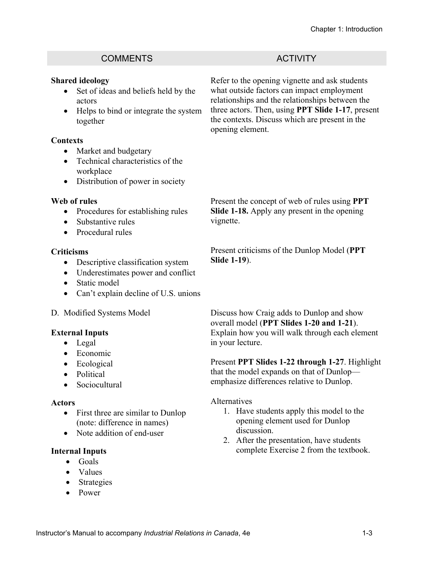# COMMENTS ACTIVITY

#### **Shared ideology**

- Set of ideas and beliefs held by the actors
- Helps to bind or integrate the system together

#### **Contexts**

- Market and budgetary
- Technical characteristics of the workplace
- Distribution of power in society

#### **Web of rules**

- Procedures for establishing rules
- Substantive rules
- Procedural rules

#### **Criticisms**

- Descriptive classification system
- Underestimates power and conflict
- Static model
- Can't explain decline of U.S. unions

D. Modified Systems Model

### **External Inputs**

- Legal
- Economic
- Ecological
- Political
- Sociocultural

#### **Actors**

- First three are similar to Dunlop (note: difference in names)
- Note addition of end-user

### **Internal Inputs**

- $\bullet$  Goals
- Values
- Strategies
- Power

Refer to the opening vignette and ask students what outside factors can impact employment relationships and the relationships between the three actors. Then, using **PPT Slide 1-17**, present the contexts. Discuss which are present in the opening element.

Present the concept of web of rules using **PPT Slide 1-18.** Apply any present in the opening vignette.

Present criticisms of the Dunlop Model (**PPT Slide 1-19**).

Discuss how Craig adds to Dunlop and show overall model (**PPT Slides 1-20 and 1-21**). Explain how you will walk through each element in your lecture.

Present **PPT Slides 1-22 through 1-27**. Highlight that the model expands on that of Dunlop emphasize differences relative to Dunlop.

#### Alternatives

- 1. Have students apply this model to the opening element used for Dunlop discussion.
- 2. After the presentation, have students complete Exercise 2 from the textbook.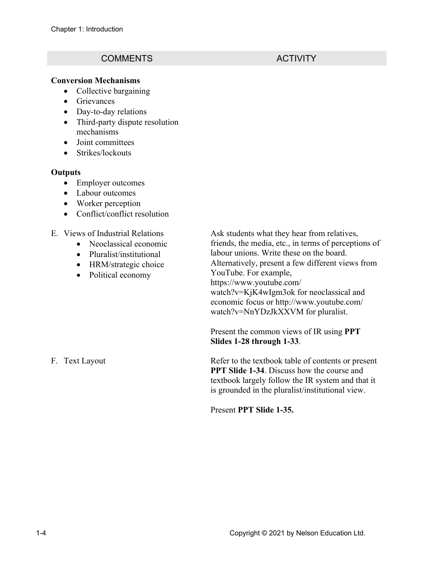# COMMENTS ACTIVITY

#### **Conversion Mechanisms**

- Collective bargaining
- **•** Grievances
- Day-to-day relations
- Third-party dispute resolution mechanisms
- Joint committees
- Strikes/lockouts

#### **Outputs**

- Employer outcomes
- Labour outcomes
- Worker perception
- Conflict/conflict resolution
- E. Views of Industrial Relations
	- Neoclassical economic
		- Pluralist/institutional
		- HRM/strategic choice
		- Political economy

Ask students what they hear from relatives, friends, the media, etc., in terms of perceptions of labour unions. Write these on the board. Alternatively, present a few different views from YouTube. For example, https://www.youtube.com/ watch?v=KjK4wIgm3ok for neoclassical and economic focus or http://www.youtube.com/ watch?v=NnYDzJkXXVM for pluralist.

Present the common views of IR using **PPT Slides 1-28 through 1-33**.

F. Text Layout Refer to the textbook table of contents or present **PPT Slide 1-34**. Discuss how the course and textbook largely follow the IR system and that it is grounded in the pluralist/institutional view.

Present **PPT Slide 1-35.**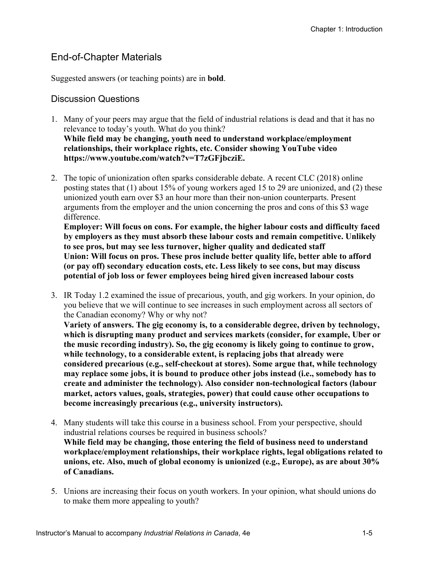# End-of-Chapter Materials

Suggested answers (or teaching points) are in **bold**.

## Discussion Questions

- 1. Many of your peers may argue that the field of industrial relations is dead and that it has no relevance to today's youth. What do you think? **While field may be changing, youth need to understand workplace/employment relationships, their workplace rights, etc. Consider showing YouTube video https://www.youtube.com/watch?v=T7zGFjbcziE.**
- 2. The topic of unionization often sparks considerable debate. A recent CLC (2018) online posting states that (1) about 15% of young workers aged 15 to 29 are unionized, and (2) these unionized youth earn over \$3 an hour more than their non-union counterparts. Present arguments from the employer and the union concerning the pros and cons of this \$3 wage difference.

**Employer: Will focus on cons. For example, the higher labour costs and difficulty faced by employers as they must absorb these labour costs and remain competitive. Unlikely to see pros, but may see less turnover, higher quality and dedicated staff Union: Will focus on pros. These pros include better quality life, better able to afford (or pay off) secondary education costs, etc. Less likely to see cons, but may discuss potential of job loss or fewer employees being hired given increased labour costs** 

3. IR Today 1.2 examined the issue of precarious, youth, and gig workers. In your opinion, do you believe that we will continue to see increases in such employment across all sectors of the Canadian economy? Why or why not?

**Variety of answers. The gig economy is, to a considerable degree, driven by technology, which is disrupting many product and services markets (consider, for example, Uber or the music recording industry). So, the gig economy is likely going to continue to grow, while technology, to a considerable extent, is replacing jobs that already were considered precarious (e.g., self-checkout at stores). Some argue that, while technology may replace some jobs, it is bound to produce other jobs instead (i.e., somebody has to create and administer the technology). Also consider non-technological factors (labour market, actors values, goals, strategies, power) that could cause other occupations to become increasingly precarious (e.g., university instructors).** 

- 4. Many students will take this course in a business school. From your perspective, should industrial relations courses be required in business schools? **While field may be changing, those entering the field of business need to understand workplace/employment relationships, their workplace rights, legal obligations related to unions, etc. Also, much of global economy is unionized (e.g., Europe), as are about 30% of Canadians.**
- 5. Unions are increasing their focus on youth workers. In your opinion, what should unions do to make them more appealing to youth?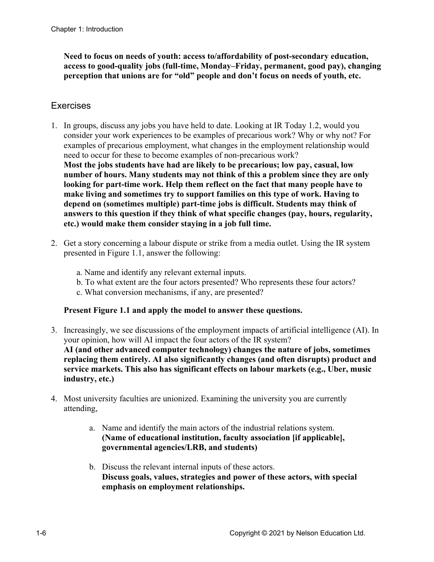**Need to focus on needs of youth: access to/affordability of post-secondary education, access to good-quality jobs (full-time, Monday–Friday, permanent, good pay), changing perception that unions are for "old" people and don't focus on needs of youth, etc.** 

# **Exercises**

- 1. In groups, discuss any jobs you have held to date. Looking at IR Today 1.2, would you consider your work experiences to be examples of precarious work? Why or why not? For examples of precarious employment, what changes in the employment relationship would need to occur for these to become examples of non-precarious work? **Most the jobs students have had are likely to be precarious; low pay, casual, low number of hours. Many students may not think of this a problem since they are only looking for part-time work. Help them reflect on the fact that many people have to make living and sometimes try to support families on this type of work. Having to depend on (sometimes multiple) part-time jobs is difficult. Students may think of answers to this question if they think of what specific changes (pay, hours, regularity, etc.) would make them consider staying in a job full time.**
- 2. Get a story concerning a labour dispute or strike from a media outlet. Using the IR system presented in Figure 1.1, answer the following:
	- a. Name and identify any relevant external inputs.
	- b. To what extent are the four actors presented? Who represents these four actors?
	- c. What conversion mechanisms, if any, are presented?

### **Present Figure 1.1 and apply the model to answer these questions.**

- 3. Increasingly, we see discussions of the employment impacts of artificial intelligence (AI). In your opinion, how will AI impact the four actors of the IR system? **AI (and other advanced computer technology) changes the nature of jobs, sometimes replacing them entirely. AI also significantly changes (and often disrupts) product and service markets. This also has significant effects on labour markets (e.g., Uber, music industry, etc.)**
- 4. Most university faculties are unionized. Examining the university you are currently attending,
	- a. Name and identify the main actors of the industrial relations system. **(Name of educational institution, faculty association [if applicable], governmental agencies/LRB, and students)**
	- b. Discuss the relevant internal inputs of these actors. **Discuss goals, values, strategies and power of these actors, with special emphasis on employment relationships.**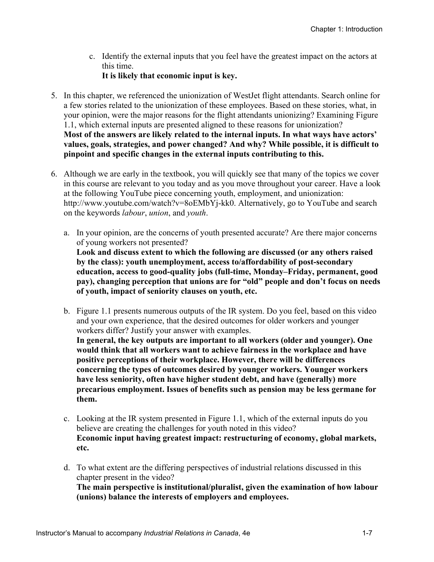c. Identify the external inputs that you feel have the greatest impact on the actors at this time.

## **It is likely that economic input is key.**

- 5. In this chapter, we referenced the unionization of WestJet flight attendants. Search online for a few stories related to the unionization of these employees. Based on these stories, what, in your opinion, were the major reasons for the flight attendants unionizing? Examining Figure 1.1, which external inputs are presented aligned to these reasons for unionization? **Most of the answers are likely related to the internal inputs. In what ways have actors' values, goals, strategies, and power changed? And why? While possible, it is difficult to pinpoint and specific changes in the external inputs contributing to this.**
- 6. Although we are early in the textbook, you will quickly see that many of the topics we cover in this course are relevant to you today and as you move throughout your career. Have a look at the following YouTube piece concerning youth, employment, and unionization: http://www.youtube.com/watch?v=8oEMbY<sub>j</sub>-kk0. Alternatively, go to YouTube and search on the keywords *labour*, *union*, and *youth*.
	- a. In your opinion, are the concerns of youth presented accurate? Are there major concerns of young workers not presented? **Look and discuss extent to which the following are discussed (or any others raised by the class): youth unemployment, access to/affordability of post-secondary education, access to good-quality jobs (full-time, Monday–Friday, permanent, good pay), changing perception that unions are for "old" people and don't focus on needs of youth, impact of seniority clauses on youth, etc.**
	- b. Figure 1.1 presents numerous outputs of the IR system. Do you feel, based on this video and your own experience, that the desired outcomes for older workers and younger workers differ? Justify your answer with examples. **In general, the key outputs are important to all workers (older and younger). One would think that all workers want to achieve fairness in the workplace and have positive perceptions of their workplace. However, there will be differences concerning the types of outcomes desired by younger workers. Younger workers have less seniority, often have higher student debt, and have (generally) more precarious employment. Issues of benefits such as pension may be less germane for them.**
	- c. Looking at the IR system presented in Figure 1.1, which of the external inputs do you believe are creating the challenges for youth noted in this video? **Economic input having greatest impact: restructuring of economy, global markets, etc.**
	- d. To what extent are the differing perspectives of industrial relations discussed in this chapter present in the video? **The main perspective is institutional/pluralist, given the examination of how labour (unions) balance the interests of employers and employees.**